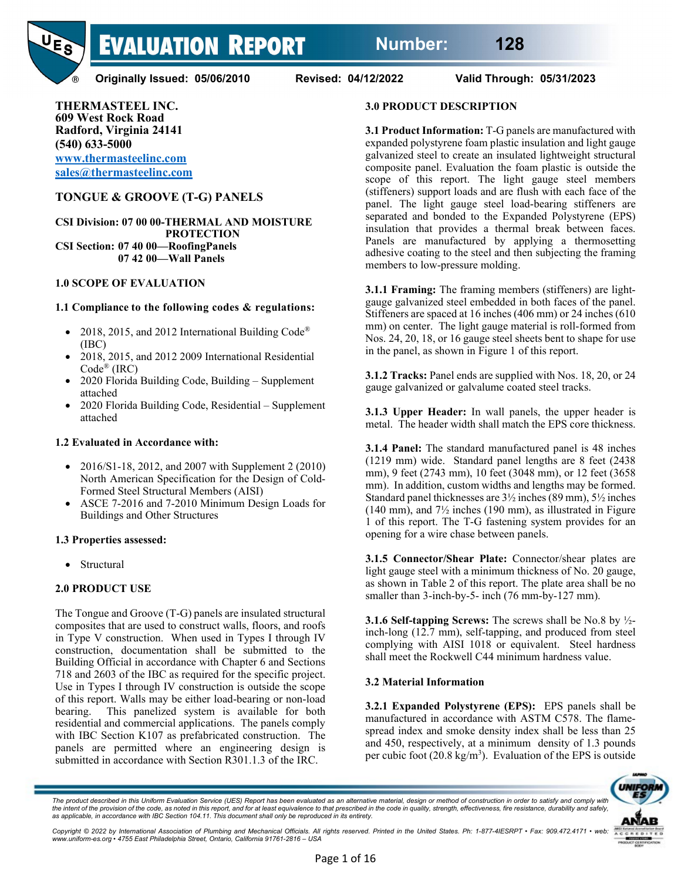

**Originally Issued: 05/06/2010 Revised: 04/12/2022 Valid Through: 05/31/2023** 

**THERMASTEEL INC. 609 West Rock Road Radford, Virginia 24141 (540) 633-5000 [www.thermasteelinc.com](http://www.thermasteelinc.com/) [sales@thermasteelinc.com](mailto:sales@thermasteelinc.com)**

# **TONGUE & GROOVE (T-G) PANELS**

**CSI Division: 07 00 00-THERMAL AND MOISTURE PROTECTION CSI Section: 07 40 00—RoofingPanels 07 42 00—Wall Panels**

#### **1.0 SCOPE OF EVALUATION**

#### **1.1 Compliance to the following codes & regulations:**

- 2018, 2015, and 2012 International Building Code<sup>®</sup> (IBC)
- 2018, 2015, and 2012 2009 International Residential Code® (IRC)
- 2020 Florida Building Code, Building Supplement attached
- 2020 Florida Building Code, Residential Supplement attached

#### **1.2 Evaluated in Accordance with:**

- 2016/S1-18, 2012, and 2007 with Supplement 2 (2010) North American Specification for the Design of Cold-Formed Steel Structural Members (AISI)
- ASCE 7-2016 and 7-2010 Minimum Design Loads for Buildings and Other Structures

#### **1.3 Properties assessed:**

**Structural** 

#### **2.0 PRODUCT USE**

The Tongue and Groove (T-G) panels are insulated structural composites that are used to construct walls, floors, and roofs in Type V construction. When used in Types I through IV construction, documentation shall be submitted to the Building Official in accordance with Chapter 6 and Sections 718 and 2603 of the IBC as required for the specific project. Use in Types I through IV construction is outside the scope of this report. Walls may be either load-bearing or non-load bearing. This panelized system is available for both residential and commercial applications. The panels comply with IBC Section K107 as prefabricated construction. The panels are permitted where an engineering design is submitted in accordance with Section R301.1.3 of the IRC.

### **3.0 PRODUCT DESCRIPTION**

**3.1 Product Information:** T-G panels are manufactured with expanded polystyrene foam plastic insulation and light gauge galvanized steel to create an insulated lightweight structural composite panel. Evaluation the foam plastic is outside the scope of this report. The light gauge steel members (stiffeners) support loads and are flush with each face of the panel. The light gauge steel load-bearing stiffeners are separated and bonded to the Expanded Polystyrene (EPS) insulation that provides a thermal break between faces. Panels are manufactured by applying a thermosetting adhesive coating to the steel and then subjecting the framing members to low-pressure molding.

**3.1.1 Framing:** The framing members (stiffeners) are lightgauge galvanized steel embedded in both faces of the panel. Stiffeners are spaced at 16 inches (406 mm) or 24 inches (610 mm) on center. The light gauge material is roll-formed from Nos. 24, 20, 18, or 16 gauge steel sheets bent to shape for use in the panel, as shown in Figure 1 of this report.

**3.1.2 Tracks:** Panel ends are supplied with Nos. 18, 20, or 24 gauge galvanized or galvalume coated steel tracks.

**3.1.3 Upper Header:** In wall panels, the upper header is metal. The header width shall match the EPS core thickness.

**3.1.4 Panel:** The standard manufactured panel is 48 inches (1219 mm) wide. Standard panel lengths are 8 feet (2438 mm), 9 feet (2743 mm), 10 feet (3048 mm), or 12 feet (3658 mm). In addition, custom widths and lengths may be formed. Standard panel thicknesses are 3½ inches(89 mm), 5½ inches (140 mm), and 7½ inches (190 mm), as illustrated in Figure 1 of this report. The T-G fastening system provides for an opening for a wire chase between panels.

**3.1.5 Connector/Shear Plate:** Connector/shear plates are light gauge steel with a minimum thickness of No. 20 gauge, as shown in Table 2 of this report. The plate area shall be no smaller than 3-inch-by-5- inch (76 mm-by-127 mm).

**3.1.6 Self-tapping Screws:** The screws shall be No.8 by ½ inch-long (12.7 mm), self-tapping, and produced from steel complying with AISI 1018 or equivalent. Steel hardness shall meet the Rockwell C44 minimum hardness value.

#### **3.2 Material Information**

**3.2.1 Expanded Polystyrene (EPS):** EPS panels shall be manufactured in accordance with ASTM C578. The flamespread index and smoke density index shall be less than 25 and 450, respectively, at a minimum density of 1.3 pounds per cubic foot  $(20.8 \text{ kg/m}^3)$ . Evaluation of the EPS is outside



*The product described in this Uniform Evaluation Service (UES) Report has been evaluated as an alternative material, design or method of construction in order to satisfy and comply with*  the intent of the provision of the code, as noted in this report, and for at least equivalence to that prescribed in the code in quality, strength, effectiveness, fire resistance, durability and safely *as applicable, in accordance with IBC Section 104.11. This document shall only be reproduced in its entirety.*

Copyright © 2022 by International Association of Plumbing and Mechanical Officials. All rights reserved. Printed in the United States. Ph: 1-877-4IESRPT • Fax: 909.472.4171 • web: *www.uniform-es.org • 4755 East Philadelphia Street, Ontario, California 91761-2816 – USA*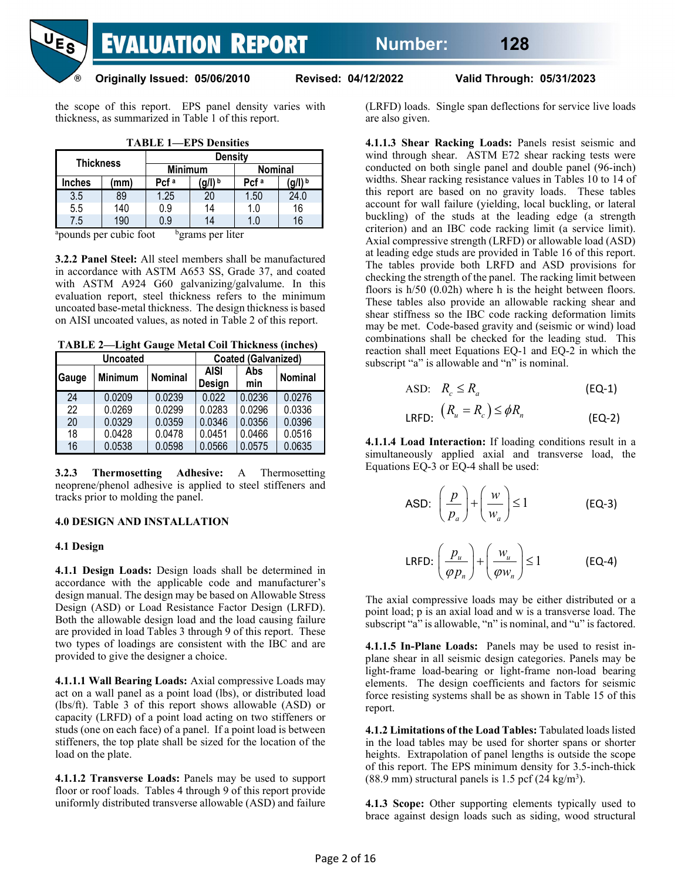

**Originally Issued: 05/06/2010 Revised: 04/12/2022 Valid Through: 05/31/2023** 

the scope of this report. EPS panel density varies with thickness, as summarized in Table 1 of this report.

| <b>TABLE 1—EPS Densities</b> |  |
|------------------------------|--|
|------------------------------|--|

| <b>Thickness</b> |     |                  | <b>Density</b> |                  |      |  |
|------------------|-----|------------------|----------------|------------------|------|--|
|                  |     | <b>Minimum</b>   |                | <b>Nominal</b>   |      |  |
| <b>Inches</b>    | mm) | Pcf <sup>a</sup> | <b>g/l)</b> b  | Pcf <sup>a</sup> | m  b |  |
| 3.5              | 89  | 1.25             | 20             | 1.50             | 24.0 |  |
| 5.5              | 140 | 0.9              | 14             | 1.0              | 16   |  |
| 7.5              | 190 | 0.9              | 14             | $10^{\circ}$     | 16   |  |

<sup>a</sup>pounds per cubic foot b <sup>b</sup>grams per liter

**3.2.2 Panel Steel:** All steel members shall be manufactured in accordance with ASTM A653 SS, Grade 37, and coated with ASTM A924 G60 galvanizing/galvalume. In this evaluation report, steel thickness refers to the minimum uncoated base-metal thickness. The design thickness is based on AISI uncoated values, as noted in Table 2 of this report.

**TABLE 2—Light Gauge Metal Coil Thickness (inches)**

|       | <b>Uncoated</b> |                |                       | <b>Coated (Galvanized)</b> |         |
|-------|-----------------|----------------|-----------------------|----------------------------|---------|
| Gauge | <b>Minimum</b>  | <b>Nominal</b> | <b>AISI</b><br>Design | Abs<br>min                 | Nominal |
| 24    | 0.0209          | 0.0239         | 0.022                 | 0.0236                     | 0.0276  |
| 22    | 0.0269          | 0.0299         | 0.0283                | 0.0296                     | 0.0336  |
| 20    | 0.0329          | 0.0359         | 0.0346                | 0.0356                     | 0.0396  |
| 18    | 0.0428          | 0.0478         | 0.0451                | 0.0466                     | 0.0516  |
| 16    | 0.0538          | 0.0598         | 0.0566                | 0.0575                     | 0.0635  |

**3.2.3 Thermosetting Adhesive:** A Thermosetting neoprene/phenol adhesive is applied to steel stiffeners and tracks prior to molding the panel.

#### **4.0 DESIGN AND INSTALLATION**

#### **4.1 Design**

**4.1.1 Design Loads:** Design loads shall be determined in accordance with the applicable code and manufacturer's design manual. The design may be based on Allowable Stress Design (ASD) or Load Resistance Factor Design (LRFD). Both the allowable design load and the load causing failure are provided in load Tables 3 through 9 of this report. These two types of loadings are consistent with the IBC and are provided to give the designer a choice.

**4.1.1.1 Wall Bearing Loads:** Axial compressive Loads may act on a wall panel as a point load (lbs), or distributed load (lbs/ft). Table 3 of this report shows allowable (ASD) or capacity (LRFD) of a point load acting on two stiffeners or studs (one on each face) of a panel. If a point load is between stiffeners, the top plate shall be sized for the location of the load on the plate.

**4.1.1.2 Transverse Loads:** Panels may be used to support floor or roof loads. Tables 4 through 9 of this report provide uniformly distributed transverse allowable (ASD) and failure (LRFD) loads. Single span deflections for service live loads are also given.

**4.1.1.3 Shear Racking Loads:** Panels resist seismic and wind through shear. ASTM E72 shear racking tests were conducted on both single panel and double panel (96-inch) widths. Shear racking resistance values in Tables 10 to 14 of this report are based on no gravity loads. These tables account for wall failure (yielding, local buckling, or lateral buckling) of the studs at the leading edge (a strength criterion) and an IBC code racking limit (a service limit). Axial compressive strength (LRFD) or allowable load (ASD) at leading edge studs are provided in Table 16 of this report. The tables provide both LRFD and ASD provisions for checking the strength of the panel. The racking limit between floors is h/50 (0.02h) where h is the height between floors. These tables also provide an allowable racking shear and shear stiffness so the IBC code racking deformation limits may be met. Code-based gravity and (seismic or wind) load combinations shall be checked for the leading stud. This reaction shall meet Equations EQ-1 and EQ-2 in which the subscript "a" is allowable and "n" is nominal.

$$
\text{ASD:} \quad R_c \le R_a \tag{EQ-1}
$$

$$
LRFD: (R_u = R_c) \leq \phi R_n
$$
 (EQ-2)

**4.1.1.4 Load Interaction:** If loading conditions result in a simultaneously applied axial and transverse load, the Equations EQ-3 or EQ-4 shall be used:

ASD: 
$$
\left(\frac{p}{p_a}\right) + \left(\frac{w}{w_a}\right) \le 1
$$
 (EQ-3)  
LRFD:  $\left(\frac{p_u}{\varphi p_n}\right) + \left(\frac{w_u}{\varphi w_n}\right) \le 1$  (EQ-4)

The axial compressive loads may be either distributed or a point load; p is an axial load and w is a transverse load. The subscript "a" is allowable, "n" is nominal, and "u" is factored.

**4.1.1.5 In-Plane Loads:** Panels may be used to resist inplane shear in all seismic design categories. Panels may be light-frame load-bearing or light-frame non-load bearing elements. The design coefficients and factors for seismic force resisting systems shall be as shown in Table 15 of this report.

**4.1.2 Limitations of the Load Tables:** Tabulated loads listed in the load tables may be used for shorter spans or shorter heights. Extrapolation of panel lengths is outside the scope of this report. The EPS minimum density for 3.5-inch-thick  $(88.9 \text{ mm})$  structural panels is 1.5 pcf  $(24 \text{ kg/m}^3)$ .

**4.1.3 Scope:** Other supporting elements typically used to brace against design loads such as siding, wood structural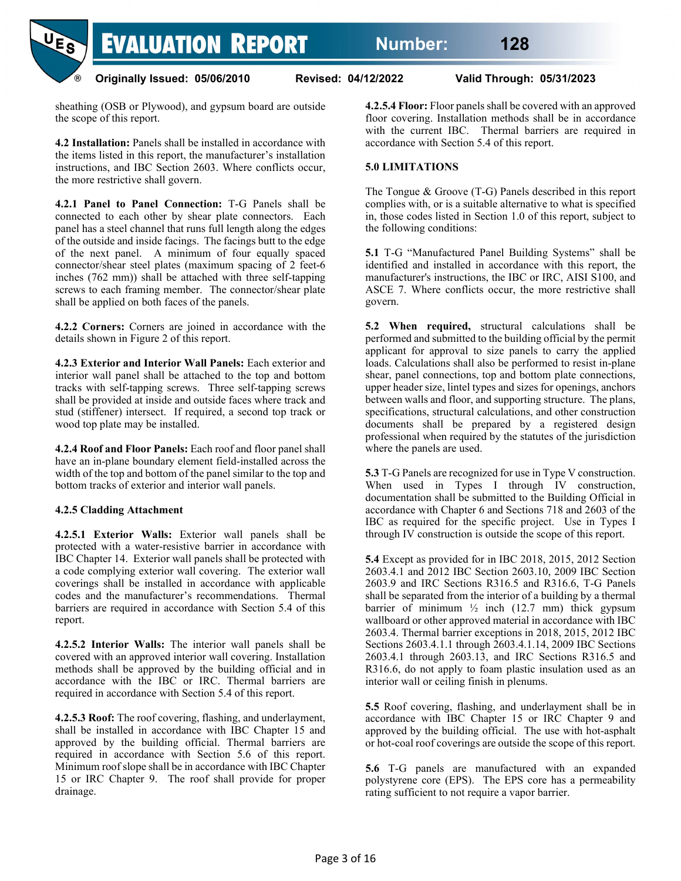**Number: 128**

**EVALUATION REPORT** 

**Originally Issued: 05/06/2010 Revised: 04/12/2022 Valid Through: 05/31/2023**

sheathing (OSB or Plywood), and gypsum board are outside the scope of this report.

 $^{\circledR}$ 

**4.2 Installation:** Panels shall be installed in accordance with the items listed in this report, the manufacturer's installation instructions, and IBC Section 2603. Where conflicts occur, the more restrictive shall govern.

**4.2.1 Panel to Panel Connection:** T-G Panels shall be connected to each other by shear plate connectors. Each panel has a steel channel that runs full length along the edges of the outside and inside facings. The facings butt to the edge of the next panel. A minimum of four equally spaced connector/shear steel plates (maximum spacing of 2 feet-6 inches (762 mm)) shall be attached with three self-tapping screws to each framing member. The connector/shear plate shall be applied on both faces of the panels.

**4.2.2 Corners:** Corners are joined in accordance with the details shown in Figure 2 of this report.

**4.2.3 Exterior and Interior Wall Panels:** Each exterior and interior wall panel shall be attached to the top and bottom tracks with self-tapping screws. Three self-tapping screws shall be provided at inside and outside faces where track and stud (stiffener) intersect. If required, a second top track or wood top plate may be installed.

**4.2.4 Roof and Floor Panels:** Each roof and floor panel shall have an in-plane boundary element field-installed across the width of the top and bottom of the panel similar to the top and bottom tracks of exterior and interior wall panels.

#### **4.2.5 Cladding Attachment**

**4.2.5.1 Exterior Walls:** Exterior wall panels shall be protected with a water-resistive barrier in accordance with IBC Chapter 14. Exterior wall panels shall be protected with a code complying exterior wall covering. The exterior wall coverings shall be installed in accordance with applicable codes and the manufacturer's recommendations. Thermal barriers are required in accordance with Section 5.4 of this report.

**4.2.5.2 Interior Walls:** The interior wall panels shall be covered with an approved interior wall covering. Installation methods shall be approved by the building official and in accordance with the IBC or IRC. Thermal barriers are required in accordance with Section 5.4 of this report.

**4.2.5.3 Roof:** The roof covering, flashing, and underlayment, shall be installed in accordance with IBC Chapter 15 and approved by the building official. Thermal barriers are required in accordance with Section 5.6 of this report. Minimum roof slope shall be in accordance with IBC Chapter 15 or IRC Chapter 9. The roof shall provide for proper drainage.

**4.2.5.4 Floor:** Floor panels shall be covered with an approved floor covering. Installation methods shall be in accordance with the current IBC. Thermal barriers are required in accordance with Section 5.4 of this report.

#### **5.0 LIMITATIONS**

The Tongue & Groove (T-G) Panels described in this report complies with, or is a suitable alternative to what is specified in, those codes listed in Section 1.0 of this report, subject to the following conditions:

**5.1** T-G "Manufactured Panel Building Systems" shall be identified and installed in accordance with this report, the manufacturer's instructions, the IBC or IRC, AISI S100, and ASCE 7. Where conflicts occur, the more restrictive shall govern.

**5.2 When required,** structural calculations shall be performed and submitted to the building official by the permit applicant for approval to size panels to carry the applied loads. Calculations shall also be performed to resist in-plane shear, panel connections, top and bottom plate connections, upper header size, lintel types and sizes for openings, anchors between walls and floor, and supporting structure. The plans, specifications, structural calculations, and other construction documents shall be prepared by a registered design professional when required by the statutes of the jurisdiction where the panels are used.

**5.3** T-G Panels are recognized for use in Type V construction. When used in Types I through IV construction, documentation shall be submitted to the Building Official in accordance with Chapter 6 and Sections 718 and 2603 of the IBC as required for the specific project. Use in Types I through IV construction is outside the scope of this report.

**5.4** Except as provided for in IBC 2018, 2015, 2012 Section 2603.4.1 and 2012 IBC Section 2603.10, 2009 IBC Section 2603.9 and IRC Sections R316.5 and R316.6, T-G Panels shall be separated from the interior of a building by a thermal barrier of minimum  $\frac{1}{2}$  inch (12.7 mm) thick gypsum wallboard or other approved material in accordance with IBC 2603.4. Thermal barrier exceptions in 2018, 2015, 2012 IBC Sections 2603.4.1.1 through 2603.4.1.14, 2009 IBC Sections 2603.4.1 through 2603.13, and IRC Sections R316.5 and R316.6, do not apply to foam plastic insulation used as an interior wall or ceiling finish in plenums.

**5.5** Roof covering, flashing, and underlayment shall be in accordance with IBC Chapter 15 or IRC Chapter 9 and approved by the building official. The use with hot-asphalt or hot-coal roof coverings are outside the scope of this report.

**5.6** T-G panels are manufactured with an expanded polystyrene core (EPS). The EPS core has a permeability rating sufficient to not require a vapor barrier.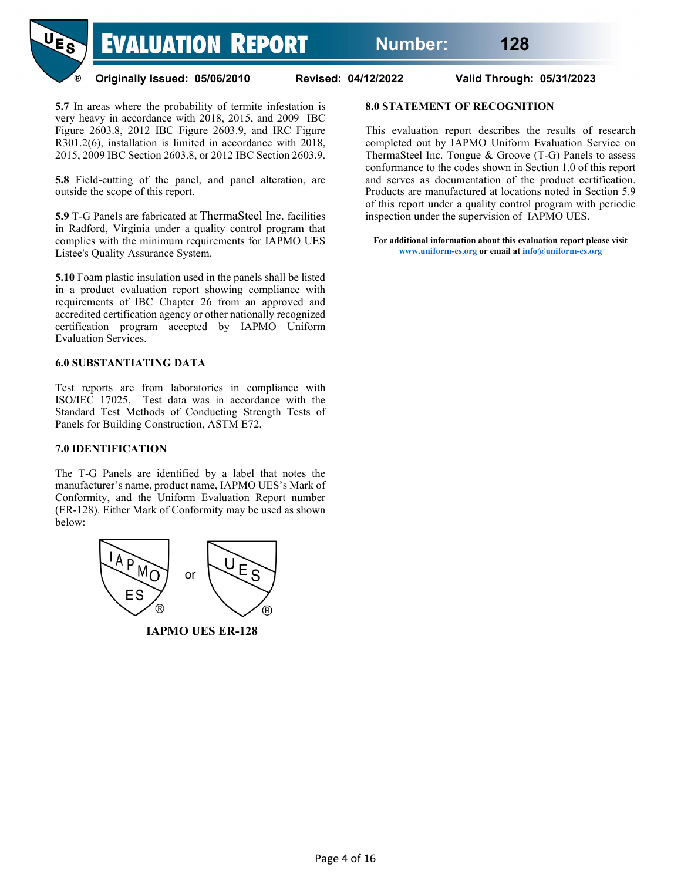

**Originally Issued: 05/06/2010 Revised: 04/12/2022 Valid Through: 05/31/2023** 

**5.7** In areas where the probability of termite infestation is very heavy in accordance with 2018, 2015, and 2009 IBC Figure 2603.8, 2012 IBC Figure 2603.9, and IRC Figure R301.2(6), installation is limited in accordance with 2018, 2015, 2009 IBC Section 2603.8, or 2012 IBC Section 2603.9.

**5.8** Field-cutting of the panel, and panel alteration, are outside the scope of this report.

**5.9** T-G Panels are fabricated at ThermaSteel Inc. facilities in Radford, Virginia under a quality control program that complies with the minimum requirements for IAPMO UES Listee's Quality Assurance System.

**5.10** Foam plastic insulation used in the panels shall be listed in a product evaluation report showing compliance with requirements of IBC Chapter 26 from an approved and accredited certification agency or other nationally recognized certification program accepted by IAPMO Uniform Evaluation Services.

#### **6.0 SUBSTANTIATING DATA**

Test reports are from laboratories in compliance with ISO/IEC 17025. Test data was in accordance with the Standard Test Methods of Conducting Strength Tests of Panels for Building Construction, ASTM E72.

#### **7.0 IDENTIFICATION**

The T-G Panels are identified by a label that notes the manufacturer's name, product name, IAPMO UES's Mark of Conformity, and the Uniform Evaluation Report number (ER-128). Either Mark of Conformity may be used as shown below:



 **IAPMO UES ER-128**

# **8.0 STATEMENT OF RECOGNITION**

This evaluation report describes the results of research completed out by IAPMO Uniform Evaluation Service on ThermaSteel Inc. Tongue & Groove (T-G) Panels to assess conformance to the codes shown in Section 1.0 of this report and serves as documentation of the product certification. Products are manufactured at locations noted in Section 5.9 of this report under a quality control program with periodic inspection under the supervision of IAPMO UES.

**For additional information about this evaluation report please visit [www.uniform-es.org](http://www.uniform-es.org/) or email a[t info@uniform-es.org](mailto:info@uniform-es.org)**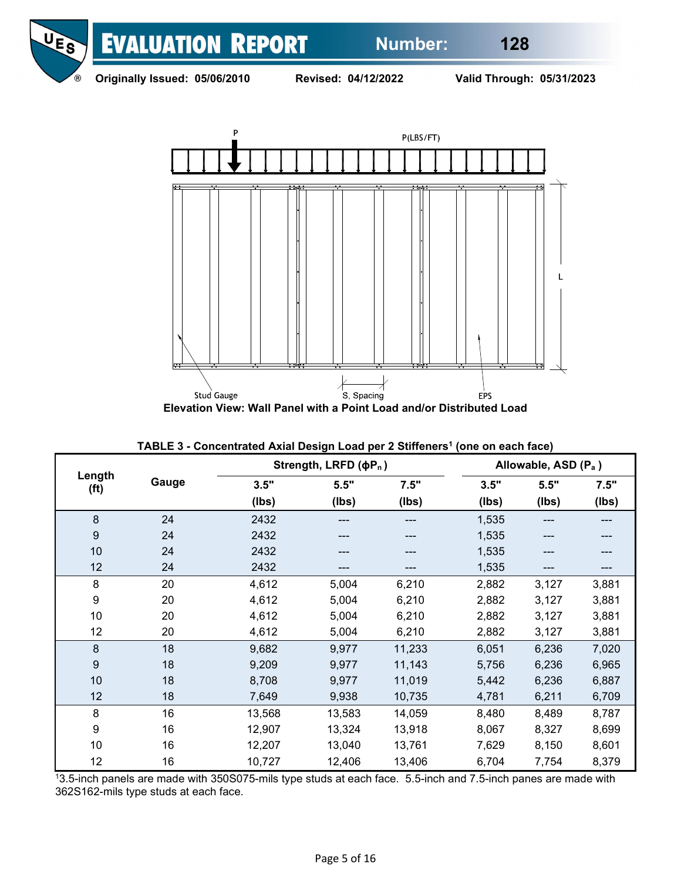

**Originally Issued: 05/06/2010 Revised: 04/12/2022 Valid Through: 05/31/2023** 



|                             |       |        | Strength, LRFD (φP <sub>n</sub> ) |        |       | Allowable, ASD (P <sub>a</sub> ) |       |
|-----------------------------|-------|--------|-----------------------------------|--------|-------|----------------------------------|-------|
| Length<br>(f <sup>t</sup> ) | Gauge | 3.5"   | 5.5"                              | 7.5"   | 3.5"  | 5.5"                             | 7.5"  |
|                             |       | (lbs)  | (Ibs)                             | (Ibs)  | (lbs) | (Ibs)                            | (Ibs) |
| 8                           | 24    | 2432   | ---                               | ---    | 1,535 | ---                              | ---   |
| 9                           | 24    | 2432   |                                   |        | 1,535 | ---                              | ---   |
| 10                          | 24    | 2432   |                                   |        | 1,535 |                                  | ---   |
| 12                          | 24    | 2432   |                                   |        | 1,535 | ---                              |       |
| 8                           | 20    | 4,612  | 5,004                             | 6,210  | 2,882 | 3,127                            | 3,881 |
| 9                           | 20    | 4,612  | 5,004                             | 6,210  | 2,882 | 3,127                            | 3,881 |
| 10                          | 20    | 4,612  | 5,004                             | 6,210  | 2,882 | 3,127                            | 3,881 |
| 12                          | 20    | 4,612  | 5,004                             | 6,210  | 2,882 | 3,127                            | 3,881 |
| 8                           | 18    | 9,682  | 9,977                             | 11,233 | 6,051 | 6,236                            | 7,020 |
| 9                           | 18    | 9,209  | 9,977                             | 11,143 | 5,756 | 6,236                            | 6,965 |
| 10                          | 18    | 8,708  | 9,977                             | 11,019 | 5,442 | 6,236                            | 6,887 |
| 12                          | 18    | 7,649  | 9,938                             | 10,735 | 4,781 | 6,211                            | 6,709 |
| 8                           | 16    | 13,568 | 13,583                            | 14,059 | 8,480 | 8,489                            | 8,787 |
| 9                           | 16    | 12,907 | 13,324                            | 13,918 | 8,067 | 8,327                            | 8,699 |
| 10                          | 16    | 12,207 | 13,040                            | 13,761 | 7,629 | 8,150                            | 8,601 |
| 12                          | 16    | 10,727 | 12,406                            | 13,406 | 6,704 | 7,754                            | 8,379 |

**TABLE 3 - Concentrated Axial Design Load per 2 Stiffeners<sup>1</sup> (one on each face)** 

13.5-inch panels are made with 350S075-mils type studs at each face. 5.5-inch and 7.5-inch panes are made with 362S162-mils type studs at each face.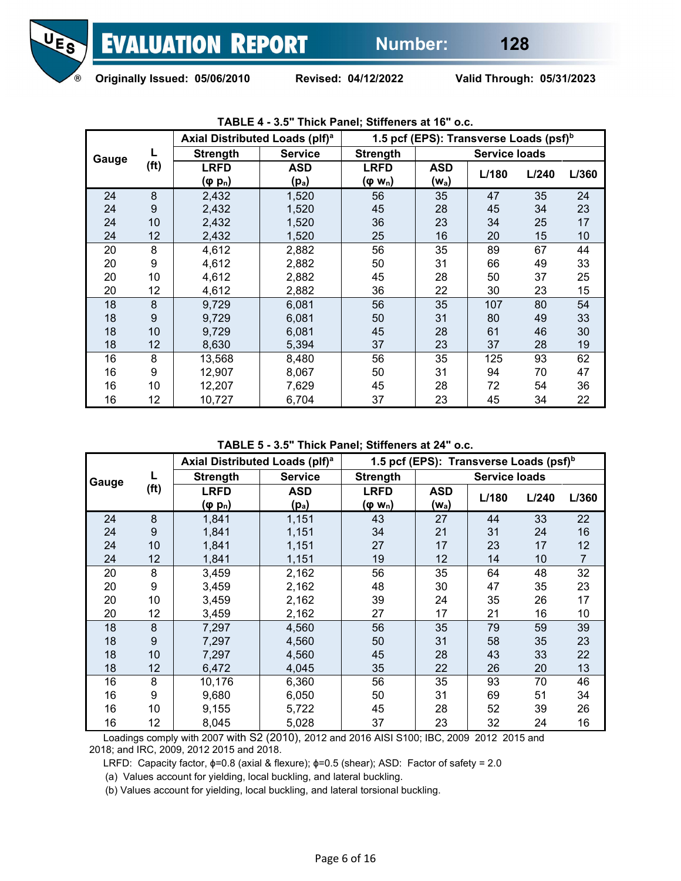

|       |                   | Axial Distributed Loads (plf) <sup>a</sup> |                | 1.5 pcf (EPS): Transverse Loads (psf) <sup>b</sup> |            |                      |       |       |
|-------|-------------------|--------------------------------------------|----------------|----------------------------------------------------|------------|----------------------|-------|-------|
| Gauge |                   | <b>Strength</b>                            | <b>Service</b> | <b>Strength</b>                                    |            | <b>Service loads</b> |       |       |
|       | (f <sup>t</sup> ) | <b>LRFD</b>                                | <b>ASD</b>     | <b>LRFD</b>                                        | <b>ASD</b> | L/180                | L/240 | L/360 |
|       |                   | $(\varphi p_n)$                            | $(p_a)$        | (φ w <sub>n</sub> )                                | $(w_a)$    |                      |       |       |
| 24    | 8                 | 2,432                                      | 1,520          | 56                                                 | 35         | 47                   | 35    | 24    |
| 24    | 9                 | 2,432                                      | 1,520          | 45                                                 | 28         | 45                   | 34    | 23    |
| 24    | 10                | 2,432                                      | 1,520          | 36                                                 | 23         | 34                   | 25    | 17    |
| 24    | 12                | 2,432                                      | 1,520          | 25                                                 | 16         | 20                   | 15    | 10    |
| 20    | 8                 | 4,612                                      | 2,882          | 56                                                 | 35         | 89                   | 67    | 44    |
| 20    | 9                 | 4,612                                      | 2,882          | 50                                                 | 31         | 66                   | 49    | 33    |
| 20    | 10                | 4,612                                      | 2,882          | 45                                                 | 28         | 50                   | 37    | 25    |
| 20    | 12                | 4,612                                      | 2,882          | 36                                                 | 22         | 30                   | 23    | 15    |
| 18    | 8                 | 9,729                                      | 6,081          | 56                                                 | 35         | 107                  | 80    | 54    |
| 18    | 9                 | 9,729                                      | 6,081          | 50                                                 | 31         | 80                   | 49    | 33    |
| 18    | 10                | 9,729                                      | 6,081          | 45                                                 | 28         | 61                   | 46    | 30    |
| 18    | 12                | 8,630                                      | 5,394          | 37                                                 | 23         | 37                   | 28    | 19    |
| 16    | 8                 | 13,568                                     | 8,480          | 56                                                 | 35         | 125                  | 93    | 62    |
| 16    | 9                 | 12,907                                     | 8,067          | 50                                                 | 31         | 94                   | 70    | 47    |
| 16    | 10                | 12,207                                     | 7,629          | 45                                                 | 28         | 72                   | 54    | 36    |
| 16    | 12                | 10,727                                     | 6,704          | 37                                                 | 23         | 45                   | 34    | 22    |

## **TABLE 4 - 3.5" Thick Panel; Stiffeners at 16" o.c.**

**TABLE 5 - 3.5" Thick Panel; Stiffeners at 24" o.c.**

|       |                   | Axial Distributed Loads (plf) <sup>a</sup> |                |                     | 1.5 pcf (EPS): Transverse Loads (psf) <sup>b</sup> |                      |       |                |
|-------|-------------------|--------------------------------------------|----------------|---------------------|----------------------------------------------------|----------------------|-------|----------------|
| Gauge |                   | <b>Strength</b>                            | <b>Service</b> | <b>Strength</b>     |                                                    | <b>Service loads</b> |       |                |
|       | (f <sup>t</sup> ) | <b>LRFD</b>                                | <b>ASD</b>     | <b>LRFD</b>         | ASD                                                | L/180                | L/240 | L/360          |
|       |                   | (φ p <sub>n</sub> )                        | $(p_a)$        | (φ w <sub>n</sub> ) | (w <sub>a</sub> )                                  |                      |       |                |
| 24    | 8                 | 1,841                                      | 1,151          | 43                  | 27                                                 | 44                   | 33    | 22             |
| 24    | 9                 | 1,841                                      | 1,151          | 34                  | 21                                                 | 31                   | 24    | 16             |
| 24    | 10                | 1,841                                      | 1,151          | 27                  | 17                                                 | 23                   | 17    | 12             |
| 24    | 12                | 1,841                                      | 1,151          | 19                  | 12                                                 | 14                   | 10    | $\overline{7}$ |
| 20    | 8                 | 3,459                                      | 2,162          | 56                  | 35                                                 | 64                   | 48    | 32             |
| 20    | 9                 | 3,459                                      | 2,162          | 48                  | 30                                                 | 47                   | 35    | 23             |
| 20    | 10                | 3,459                                      | 2,162          | 39                  | 24                                                 | 35                   | 26    | 17             |
| 20    | 12                | 3,459                                      | 2,162          | 27                  | 17                                                 | 21                   | 16    | 10             |
| 18    | 8                 | 7,297                                      | 4,560          | 56                  | 35                                                 | 79                   | 59    | 39             |
| 18    | 9                 | 7,297                                      | 4,560          | 50                  | 31                                                 | 58                   | 35    | 23             |
| 18    | 10                | 7,297                                      | 4,560          | 45                  | 28                                                 | 43                   | 33    | 22             |
| 18    | 12                | 6,472                                      | 4,045          | 35                  | 22                                                 | 26                   | 20    | 13             |
| 16    | 8                 | 10,176                                     | 6,360          | 56                  | 35                                                 | 93                   | 70    | 46             |
| 16    | 9                 | 9,680                                      | 6,050          | 50                  | 31                                                 | 69                   | 51    | 34             |
| 16    | 10                | 9,155                                      | 5,722          | 45                  | 28                                                 | 52                   | 39    | 26             |
| 16    | 12                | 8,045                                      | 5,028          | 37                  | 23                                                 | 32                   | 24    | 16             |

 Loadings comply with 2007 with S2 (2010), 2012 and 2016 AISI S100; IBC, 2009 2012 2015 and 2018; and IRC, 2009, 2012 2015 and 2018.

LRFD: Capacity factor, ɸ=0.8 (axial & flexure); ɸ=0.5 (shear); ASD: Factor of safety = 2.0

(a) Values account for yielding, local buckling, and lateral buckling.

(b) Values account for yielding, local buckling, and lateral torsional buckling.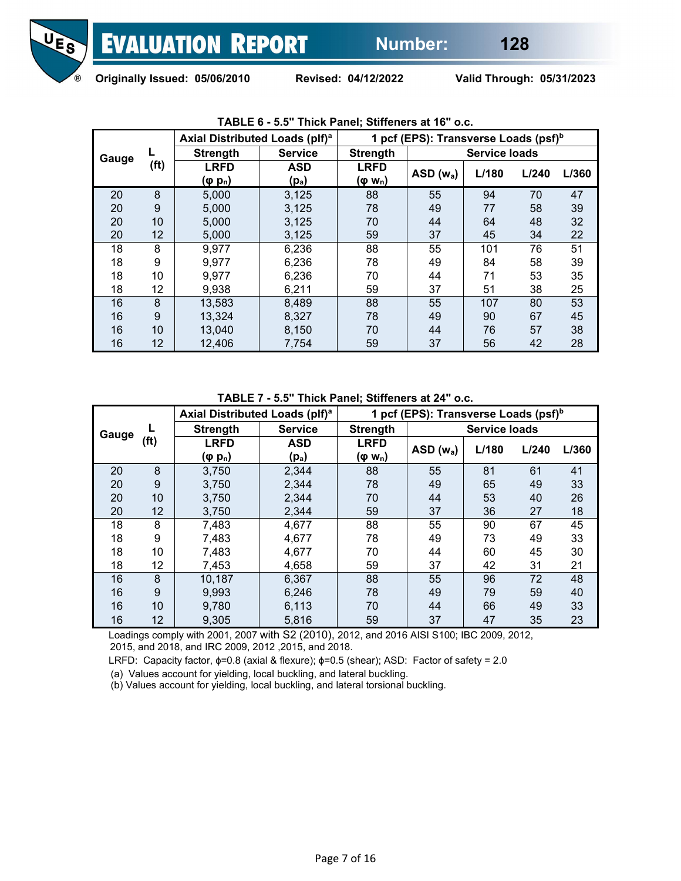

|       |      | Axial Distributed Loads (plf) <sup>a</sup> |                                 |                                    | 1 pcf (EPS): Transverse Loads (psf) <sup>b</sup> |                      |       |       |
|-------|------|--------------------------------------------|---------------------------------|------------------------------------|--------------------------------------------------|----------------------|-------|-------|
| Gauge |      | <b>Strength</b>                            | <b>Service</b>                  | <b>Strength</b>                    |                                                  | <b>Service loads</b> |       |       |
|       | (ft) | <b>LRFD</b><br>$(\varphi p_n)$             | <b>ASD</b><br>(p <sub>a</sub> ) | <b>LRFD</b><br>(φ w <sub>n</sub> ) | $ASD(w_a)$                                       | L/180                | L/240 | L/360 |
|       |      |                                            |                                 |                                    |                                                  |                      |       |       |
| 20    | 8    | 5,000                                      | 3,125                           | 88                                 | 55                                               | 94                   | 70    | 47    |
| 20    | 9    | 5,000                                      | 3,125                           | 78                                 | 49                                               | 77                   | 58    | 39    |
| 20    | 10   | 5,000                                      | 3,125                           | 70                                 | 44                                               | 64                   | 48    | 32    |
| 20    | 12   | 5,000                                      | 3,125                           | 59                                 | 37                                               | 45                   | 34    | 22    |
| 18    | 8    | 9,977                                      | 6,236                           | 88                                 | 55                                               | 101                  | 76    | 51    |
| 18    | 9    | 9,977                                      | 6,236                           | 78                                 | 49                                               | 84                   | 58    | 39    |
| 18    | 10   | 9,977                                      | 6,236                           | 70                                 | 44                                               | 71                   | 53    | 35    |
| 18    | 12   | 9,938                                      | 6,211                           | 59                                 | 37                                               | 51                   | 38    | 25    |
| 16    | 8    | 13,583                                     | 8,489                           | 88                                 | 55                                               | 107                  | 80    | 53    |
| 16    | 9    | 13,324                                     | 8,327                           | 78                                 | 49                                               | 90                   | 67    | 45    |
| 16    | 10   | 13,040                                     | 8.150                           | 70                                 | 44                                               | 76                   | 57    | 38    |
| 16    | 12   | 12,406                                     | 7,754                           | 59                                 | 37                                               | 56                   | 42    | 28    |

## **TABLE 6 - 5.5" Thick Panel; Stiffeners at 16" o.c.**

**TABLE 7 - 5.5" Thick Panel; Stiffeners at 24" o.c.**

|       |      | Axial Distributed Loads (plf) <sup>a</sup> |                   |                     | 1 pcf (EPS): Transverse Loads (psf) <sup>b</sup> |                      |       |       |
|-------|------|--------------------------------------------|-------------------|---------------------|--------------------------------------------------|----------------------|-------|-------|
| Gauge |      | <b>Strength</b>                            | <b>Service</b>    | <b>Strength</b>     |                                                  | <b>Service loads</b> |       |       |
|       | (ft) | <b>LRFD</b>                                | <b>ASD</b>        | <b>LRFD</b>         | $ASD(w_a)$                                       | L/180                | L/240 | L/360 |
|       |      | (φ p <sub>n</sub> )                        | (p <sub>a</sub> ) | (φ w <sub>n</sub> ) |                                                  |                      |       |       |
| 20    | 8    | 3,750                                      | 2,344             | 88                  | 55                                               | 81                   | 61    | 41    |
| 20    | 9    | 3,750                                      | 2,344             | 78                  | 49                                               | 65                   | 49    | 33    |
| 20    | 10   | 3,750                                      | 2,344             | 70                  | 44                                               | 53                   | 40    | 26    |
| 20    | 12   | 3,750                                      | 2,344             | 59                  | 37                                               | 36                   | 27    | 18    |
| 18    | 8    | 7,483                                      | 4,677             | 88                  | 55                                               | 90                   | 67    | 45    |
| 18    | 9    | 7,483                                      | 4,677             | 78                  | 49                                               | 73                   | 49    | 33    |
| 18    | 10   | 7,483                                      | 4,677             | 70                  | 44                                               | 60                   | 45    | 30    |
| 18    | 12   | 7,453                                      | 4,658             | 59                  | 37                                               | 42                   | 31    | 21    |
| 16    | 8    | 10,187                                     | 6,367             | 88                  | 55                                               | 96                   | 72    | 48    |
| 16    | 9    | 9,993                                      | 6.246             | 78                  | 49                                               | 79                   | 59    | 40    |
| 16    | 10   | 9.780                                      | 6,113             | 70                  | 44                                               | 66                   | 49    | 33    |
| 16    | 12   | 9,305                                      | 5,816             | 59                  | 37                                               | 47                   | 35    | 23    |

 Loadings comply with 2001, 2007 with S2 (2010), 2012, and 2016 AISI S100; IBC 2009, 2012, 2015, and 2018, and IRC 2009, 2012 ,2015, and 2018.

LRFD: Capacity factor, ɸ=0.8 (axial & flexure); ɸ=0.5 (shear); ASD: Factor of safety = 2.0

(a) Values account for yielding, local buckling, and lateral buckling.

(b) Values account for yielding, local buckling, and lateral torsional buckling.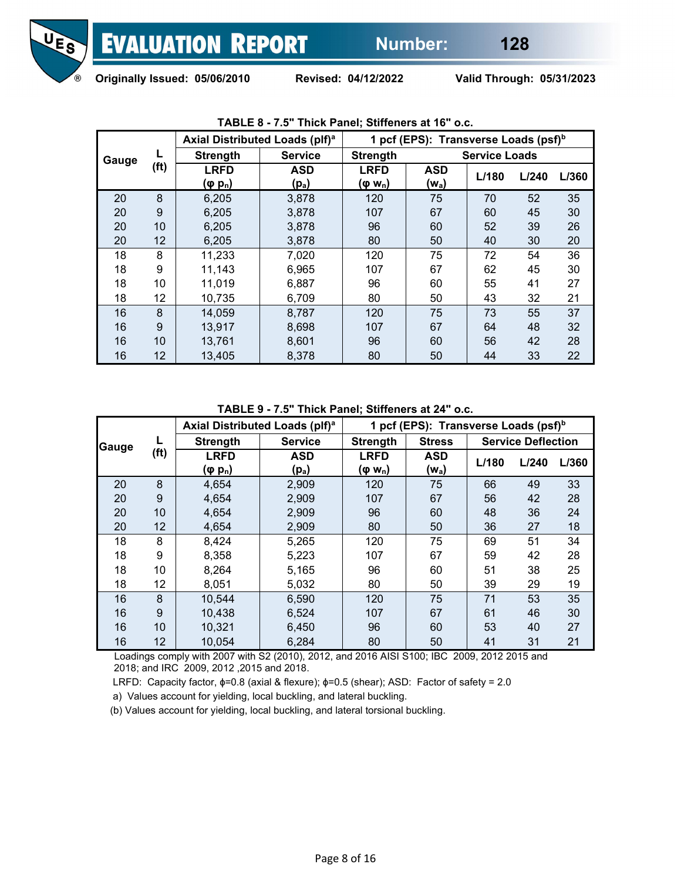

|       |      |                                | Axial Distributed Loads (plf) <sup>a</sup> |                                    | 1 pcf (EPS): Transverse Loads (psf) <sup>b</sup> |                      |       |       |
|-------|------|--------------------------------|--------------------------------------------|------------------------------------|--------------------------------------------------|----------------------|-------|-------|
| Gauge |      | <b>Strength</b>                | <b>Service</b>                             | <b>Strength</b>                    |                                                  | <b>Service Loads</b> |       |       |
|       | (ft) | <b>LRFD</b><br>$(\varphi p_n)$ | <b>ASD</b><br>$(p_a)$                      | <b>LRFD</b><br>(φ w <sub>n</sub> ) | <b>ASD</b><br>$(w_a)$                            | L/180                | L/240 | L/360 |
| 20    | 8    | 6,205                          | 3,878                                      | 120                                | 75                                               | 70                   | 52    | 35    |
| 20    | 9    | 6,205                          | 3,878                                      | 107                                | 67                                               | 60                   | 45    | 30    |
| 20    | 10   | 6,205                          | 3,878                                      | 96                                 | 60                                               | 52                   | 39    | 26    |
| 20    | 12   | 6,205                          | 3,878                                      | 80                                 | 50                                               | 40                   | 30    | 20    |
| 18    | 8    | 11,233                         | 7,020                                      | 120                                | 75                                               | 72                   | 54    | 36    |
| 18    | 9    | 11,143                         | 6,965                                      | 107                                | 67                                               | 62                   | 45    | 30    |
| 18    | 10   | 11,019                         | 6,887                                      | 96                                 | 60                                               | 55                   | 41    | 27    |
| 18    | 12   | 10,735                         | 6,709                                      | 80                                 | 50                                               | 43                   | 32    | 21    |
| 16    | 8    | 14,059                         | 8,787                                      | 120                                | 75                                               | 73                   | 55    | 37    |
| 16    | 9    | 13,917                         | 8,698                                      | 107                                | 67                                               | 64                   | 48    | 32    |
| 16    | 10   | 13,761                         | 8,601                                      | 96                                 | 60                                               | 56                   | 42    | 28    |
| 16    | 12   | 13,405                         | 8,378                                      | 80                                 | 50                                               | 44                   | 33    | 22    |

**TABLE 8 - 7.5" Thick Panel; Stiffeners at 16" o.c.**

**TABLE 9 - 7.5" Thick Panel; Stiffeners at 24" o.c.**

|       |                   | Axial Distributed Loads (plf) <sup>a</sup> |                | 1 pcf (EPS): Transverse Loads (psf) <sup>b</sup> |            |       |                           |       |  |
|-------|-------------------|--------------------------------------------|----------------|--------------------------------------------------|------------|-------|---------------------------|-------|--|
| Gauge |                   | <b>Strength</b>                            | <b>Service</b> | <b>Strength</b><br><b>Stress</b>                 |            |       | <b>Service Deflection</b> |       |  |
|       | (f <sup>t</sup> ) | <b>LRFD</b>                                | <b>ASD</b>     | <b>LRFD</b>                                      | <b>ASD</b> | L/180 | L/240                     | L/360 |  |
|       |                   | (φ p <sub>n</sub> )                        | $(p_a)$        | (φ w <sub>n</sub> )                              | $(w_a)$    |       |                           |       |  |
| 20    | 8                 | 4,654                                      | 2,909          | 120                                              | 75         | 66    | 49                        | 33    |  |
| 20    | 9                 | 4,654                                      | 2,909          | 107                                              | 67         | 56    | 42                        | 28    |  |
| 20    | 10                | 4,654                                      | 2,909          | 96                                               | 60         | 48    | 36                        | 24    |  |
| 20    | 12                | 4,654                                      | 2,909          | 80                                               | 50         | 36    | 27                        | 18    |  |
| 18    | 8                 | 8,424                                      | 5,265          | 120                                              | 75         | 69    | 51                        | 34    |  |
| 18    | 9                 | 8,358                                      | 5,223          | 107                                              | 67         | 59    | 42                        | 28    |  |
| 18    | 10                | 8,264                                      | 5,165          | 96                                               | 60         | 51    | 38                        | 25    |  |
| 18    | 12                | 8,051                                      | 5,032          | 80                                               | 50         | 39    | 29                        | 19    |  |
| 16    | 8                 | 10,544                                     | 6,590          | 120                                              | 75         | 71    | 53                        | 35    |  |
| 16    | 9                 | 10,438                                     | 6,524          | 107                                              | 67         | 61    | 46                        | 30    |  |
| 16    | 10                | 10,321                                     | 6,450          | 96                                               | 60         | 53    | 40                        | 27    |  |
| 16    | 12                | 10,054                                     | 6,284          | 80                                               | 50         | 41    | 31                        | 21    |  |

 Loadings comply with 2007 with S2 (2010), 2012, and 2016 AISI S100; IBC 2009, 2012 2015 and 2018; and IRC 2009, 2012 ,2015 and 2018.

LRFD: Capacity factor, ɸ=0.8 (axial & flexure); ɸ=0.5 (shear); ASD: Factor of safety = 2.0

a) Values account for yielding, local buckling, and lateral buckling.

(b) Values account for yielding, local buckling, and lateral torsional buckling.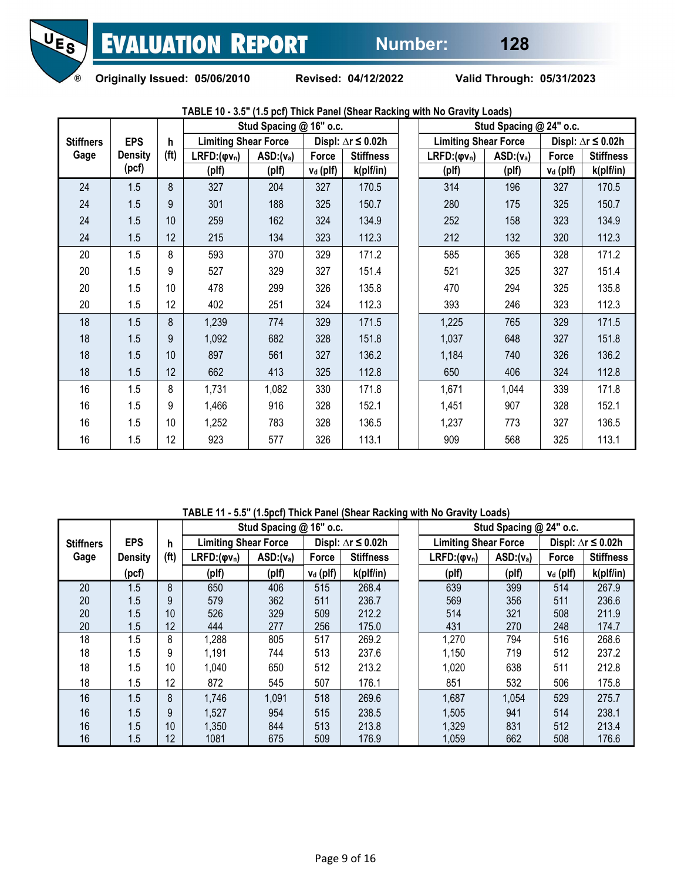

**Originally Issued: 05/06/2010 Revised: 04/12/2022 Valid Through: 05/31/2023** 

|                  |                |                   |                             | Stud Spacing @ 16" o.c. |             |                              |  | Stud Spacing @ 24" o.c.     |             |                      |                              |  |
|------------------|----------------|-------------------|-----------------------------|-------------------------|-------------|------------------------------|--|-----------------------------|-------------|----------------------|------------------------------|--|
| <b>Stiffners</b> | <b>EPS</b>     | $\mathsf{h}$      | <b>Limiting Shear Force</b> |                         |             | Displ: $\Delta r \leq 0.02h$ |  | <b>Limiting Shear Force</b> |             |                      | Displ: $\Delta r \leq 0.02h$ |  |
| Gage             | <b>Density</b> | (f <sup>t</sup> ) | $LRFD:(\varphi v_n)$        | $ASD:(v_a)$             | Force       | <b>Stiffness</b>             |  | $LRFD:(\phi v_n)$           | $ASD:(v_a)$ | Force                | <b>Stiffness</b>             |  |
|                  | (pcf)          |                   | (plf)                       | (plf)                   | $v_d$ (plf) | k(plf/in)                    |  | (plf)                       | (plf)       | V <sub>d</sub> (plf) | k(plf/in)                    |  |
| 24               | 1.5            | 8                 | 327                         | 204                     | 327         | 170.5                        |  | 314                         | 196         | 327                  | 170.5                        |  |
| 24               | 1.5            | 9                 | 301                         | 188                     | 325         | 150.7                        |  | 280                         | 175         | 325                  | 150.7                        |  |
| 24               | 1.5            | 10                | 259                         | 162                     | 324         | 134.9                        |  | 252                         | 158         | 323                  | 134.9                        |  |
| 24               | 1.5            | 12                | 215                         | 134                     | 323         | 112.3                        |  | 212                         | 132         | 320                  | 112.3                        |  |
| 20               | 1.5            | 8                 | 593                         | 370                     | 329         | 171.2                        |  | 585                         | 365         | 328                  | 171.2                        |  |
| 20               | 1.5            | 9                 | 527                         | 329                     | 327         | 151.4                        |  | 521                         | 325         | 327                  | 151.4                        |  |
| 20               | 1.5            | 10                | 478                         | 299                     | 326         | 135.8                        |  | 470                         | 294         | 325                  | 135.8                        |  |
| 20               | 1.5            | 12                | 402                         | 251                     | 324         | 112.3                        |  | 393                         | 246         | 323                  | 112.3                        |  |
| 18               | 1.5            | 8                 | 1,239                       | 774                     | 329         | 171.5                        |  | 1,225                       | 765         | 329                  | 171.5                        |  |
| 18               | 1.5            | 9                 | 1,092                       | 682                     | 328         | 151.8                        |  | 1,037                       | 648         | 327                  | 151.8                        |  |
| 18               | 1.5            | 10                | 897                         | 561                     | 327         | 136.2                        |  | 1,184                       | 740         | 326                  | 136.2                        |  |
| 18               | 1.5            | 12                | 662                         | 413                     | 325         | 112.8                        |  | 650                         | 406         | 324                  | 112.8                        |  |
| 16               | 1.5            | 8                 | 1,731                       | 1,082                   | 330         | 171.8                        |  | 1,671                       | 1,044       | 339                  | 171.8                        |  |
| 16               | 1.5            | 9                 | 1,466                       | 916                     | 328         | 152.1                        |  | 1,451                       | 907         | 328                  | 152.1                        |  |
| 16               | 1.5            | 10                | 1,252                       | 783                     | 328         | 136.5                        |  | 1,237                       | 773         | 327                  | 136.5                        |  |
| 16               | 1.5            | 12                | 923                         | 577                     | 326         | 113.1                        |  | 909                         | 568         | 325                  | 113.1                        |  |

**TABLE 10 - 3.5" (1.5 pcf) Thick Panel (Shear Racking with No Gravity Loads)**

**TABLE 11 - 5.5" (1.5pcf) Thick Panel (Shear Racking with No Gravity Loads)**

|                  |                | Stud Spacing @ 16" o.c. |                             |             |             | Stud Spacing @ 24" o.c.      |                             |             |                            |                              |
|------------------|----------------|-------------------------|-----------------------------|-------------|-------------|------------------------------|-----------------------------|-------------|----------------------------|------------------------------|
| <b>Stiffners</b> | <b>EPS</b>     | h                       | <b>Limiting Shear Force</b> |             |             | Displ: $\Delta r \leq 0.02h$ | <b>Limiting Shear Force</b> |             |                            | Displ: $\Delta r \leq 0.02h$ |
| Gage             | <b>Density</b> | (f <sup>t</sup> )       | $LRFD:(\varphi v_n)$        | $ASD:(v_a)$ | Force       | <b>Stiffness</b>             | $LRFD:(\phi v_n)$           | $ASD:(v_a)$ | Force                      | <b>Stiffness</b>             |
|                  | (pcf)          |                         | (plf)                       | (plf)       | $v_d$ (plf) | k(plf/in)                    | (plf)                       | (plf)       | <u>v<sub>d</sub></u> (plf) | k(plf/in)                    |
| 20               | 1.5            | 8                       | 650                         | 406         | 515         | 268.4                        | 639                         | 399         | 514                        | 267.9                        |
| 20               | 1.5            | 9                       | 579                         | 362         | 511         | 236.7                        | 569                         | 356         | 511                        | 236.6                        |
| 20               | 1.5            | 10                      | 526                         | 329         | 509         | 212.2                        | 514                         | 321         | 508                        | 211.9                        |
| 20               | 1.5            | 12                      | 444                         | 277         | 256         | 175.0                        | 431                         | 270         | 248                        | 174.7                        |
| 18               | 1.5            | 8                       | 1,288                       | 805         | 517         | 269.2                        | 1,270                       | 794         | 516                        | 268.6                        |
| 18               | 1.5            | 9                       | 1,191                       | 744         | 513         | 237.6                        | 1,150                       | 719         | 512                        | 237.2                        |
| 18               | 1.5            | 10                      | 1,040                       | 650         | 512         | 213.2                        | 1,020                       | 638         | 511                        | 212.8                        |
| 18               | 1.5            | 12                      | 872                         | 545         | 507         | 176.1                        | 851                         | 532         | 506                        | 175.8                        |
| 16               | 1.5            | 8                       | 1,746                       | 1,091       | 518         | 269.6                        | 1,687                       | 1,054       | 529                        | 275.7                        |
| 16               | 1.5            | 9                       | 1,527                       | 954         | 515         | 238.5                        | 1,505                       | 941         | 514                        | 238.1                        |
| 16               | 1.5            | 10                      | 1,350                       | 844         | 513         | 213.8                        | 1,329                       | 831         | 512                        | 213.4                        |
| 16               | 1.5            | 12                      | 1081                        | 675         | 509         | 176.9                        | 1,059                       | 662         | 508                        | 176.6                        |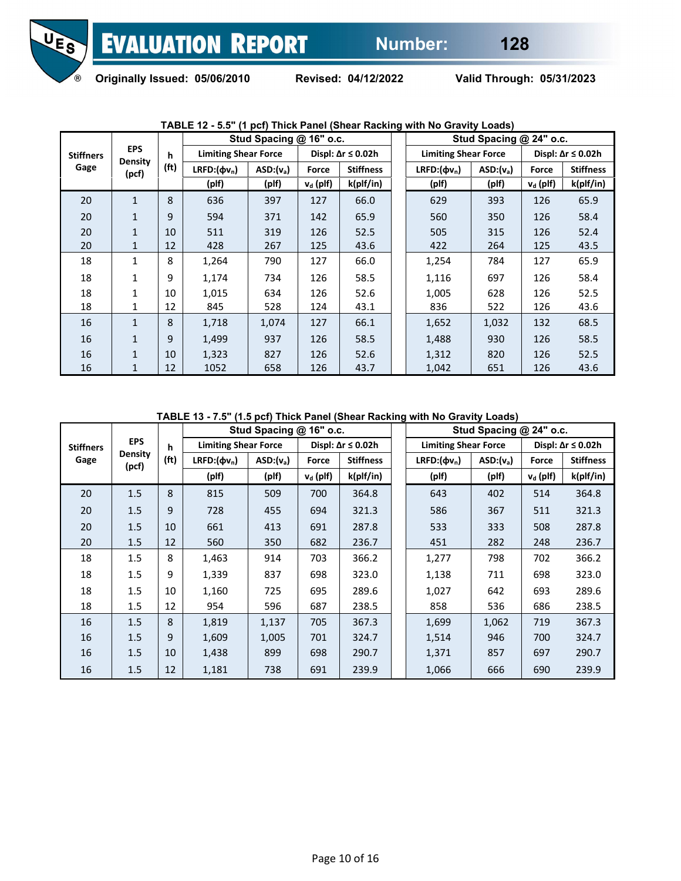

|                  | <b>EPS</b><br><b>Density</b><br>(pcf) | h                 | Stud Spacing @ 16" o.c.     |             |                              |                  | Stud Spacing @ 24" o.c.     |             |                               |                  |  |  |
|------------------|---------------------------------------|-------------------|-----------------------------|-------------|------------------------------|------------------|-----------------------------|-------------|-------------------------------|------------------|--|--|
| <b>Stiffners</b> |                                       |                   | <b>Limiting Shear Force</b> |             | Displ: $\Delta r \leq 0.02h$ |                  | <b>Limiting Shear Force</b> |             | Displ: $\Delta r \leq 0.02 h$ |                  |  |  |
| Gage             |                                       | (f <sub>t</sub> ) | LRFD: $(\Phi v_n)$          | $ASD:(v_a)$ | Force                        | <b>Stiffness</b> | LRFD: $(\Phi v_n)$          | $ASD:(v_a)$ | Force                         | <b>Stiffness</b> |  |  |
|                  |                                       |                   | (plf)                       | (plf)       | $v_d$ (plf)                  | k(plf/in)        | (plf)                       | (plf)       | $v_d$ (plf)                   | k(plf/in)        |  |  |
| 20               | $\mathbf{1}$                          | 8                 | 636                         | 397         | 127                          | 66.0             | 629                         | 393         | 126                           | 65.9             |  |  |
| 20               | $\mathbf{1}$                          | 9                 | 594                         | 371         | 142                          | 65.9             | 560                         | 350         | 126                           | 58.4             |  |  |
| 20               | $\mathbf{1}$                          | 10                | 511                         | 319         | 126                          | 52.5             | 505                         | 315         | 126                           | 52.4             |  |  |
| 20               | $\mathbf{1}$                          | 12                | 428                         | 267         | 125                          | 43.6             | 422                         | 264         | 125                           | 43.5             |  |  |
| 18               | 1                                     | 8                 | 1,264                       | 790         | 127                          | 66.0             | 1,254                       | 784         | 127                           | 65.9             |  |  |
| 18               | 1                                     | 9                 | 1,174                       | 734         | 126                          | 58.5             | 1,116                       | 697         | 126                           | 58.4             |  |  |
| 18               | $\mathbf{1}$                          | 10                | 1,015                       | 634         | 126                          | 52.6             | 1,005                       | 628         | 126                           | 52.5             |  |  |
| 18               | 1                                     | 12                | 845                         | 528         | 124                          | 43.1             | 836                         | 522         | 126                           | 43.6             |  |  |
| 16               | $\mathbf{1}$                          | 8                 | 1,718                       | 1,074       | 127                          | 66.1             | 1,652                       | 1,032       | 132                           | 68.5             |  |  |
| 16               | $\mathbf{1}$                          | 9                 | 1,499                       | 937         | 126                          | 58.5             | 1,488                       | 930         | 126                           | 58.5             |  |  |
| 16               | $\mathbf{1}$                          | 10                | 1,323                       | 827         | 126                          | 52.6             | 1,312                       | 820         | 126                           | 52.5             |  |  |
| 16               | 1                                     | 12                | 1052                        | 658         | 126                          | 43.7             | 1,042                       | 651         | 126                           | 43.6             |  |  |

## **TABLE 12 - 5.5" (1 pcf) Thick Panel (Shear Racking with No Gravity Loads)**

**TABLE 13 - 7.5" (1.5 pcf) Thick Panel (Shear Racking with No Gravity Loads)**

|                  |                                       | h                 | Stud Spacing @ 16" o.c.     |             |                              |                  | Stud Spacing @ 24" o.c.     |             |                              |                  |  |
|------------------|---------------------------------------|-------------------|-----------------------------|-------------|------------------------------|------------------|-----------------------------|-------------|------------------------------|------------------|--|
| <b>Stiffners</b> | <b>EPS</b><br><b>Density</b><br>(pcf) |                   | <b>Limiting Shear Force</b> |             | Displ: $\Delta r \leq 0.02h$ |                  | <b>Limiting Shear Force</b> |             | Displ: $\Delta r \leq 0.02h$ |                  |  |
| Gage             |                                       | (f <sup>t</sup> ) | $LRFD:(\phi v_n)$           | $ASD:(v_a)$ | Force                        | <b>Stiffness</b> | $LRFD:(\Phi v_n)$           | $ASD:(v_a)$ | Force                        | <b>Stiffness</b> |  |
|                  |                                       |                   | (plf)                       | (plf)       | $v_d$ (plf)                  | k(plf/in)        | (plf)                       | (plf)       | $v_d$ (plf)                  | k(plf/in)        |  |
| 20               | 1.5                                   | 8                 | 815                         | 509         | 700                          | 364.8            | 643                         | 402         | 514                          | 364.8            |  |
| 20               | 1.5                                   | 9                 | 728                         | 455         | 694                          | 321.3            | 586                         | 367         | 511                          | 321.3            |  |
| 20               | 1.5                                   | 10                | 661                         | 413         | 691                          | 287.8            | 533                         | 333         | 508                          | 287.8            |  |
| 20               | 1.5                                   | 12                | 560                         | 350         | 682                          | 236.7            | 451                         | 282         | 248                          | 236.7            |  |
| 18               | 1.5                                   | 8                 | 1,463                       | 914         | 703                          | 366.2            | 1,277                       | 798         | 702                          | 366.2            |  |
| 18               | 1.5                                   | 9                 | 1,339                       | 837         | 698                          | 323.0            | 1,138                       | 711         | 698                          | 323.0            |  |
| 18               | 1.5                                   | 10                | 1,160                       | 725         | 695                          | 289.6            | 1,027                       | 642         | 693                          | 289.6            |  |
| 18               | 1.5                                   | 12                | 954                         | 596         | 687                          | 238.5            | 858                         | 536         | 686                          | 238.5            |  |
| 16               | 1.5                                   | 8                 | 1,819                       | 1,137       | 705                          | 367.3            | 1,699                       | 1,062       | 719                          | 367.3            |  |
| 16               | 1.5                                   | 9                 | 1,609                       | 1,005       | 701                          | 324.7            | 1,514                       | 946         | 700                          | 324.7            |  |
| 16               | 1.5                                   | 10                | 1,438                       | 899         | 698                          | 290.7            | 1,371                       | 857         | 697                          | 290.7            |  |
| 16               | 1.5                                   | 12                | 1,181                       | 738         | 691                          | 239.9            | 1,066                       | 666         | 690                          | 239.9            |  |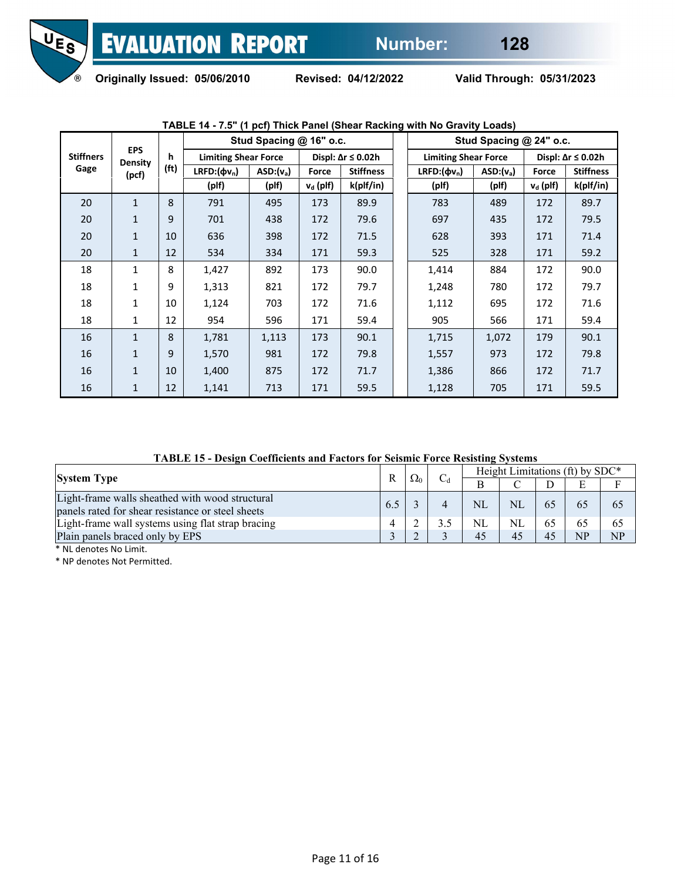

|                  |                                       | h<br>(f <sub>t</sub> ) | Stud Spacing @ 16" o.c.     |             |                              |                  | Stud Spacing @ 24" o.c.     |             |                               |                  |  |
|------------------|---------------------------------------|------------------------|-----------------------------|-------------|------------------------------|------------------|-----------------------------|-------------|-------------------------------|------------------|--|
| <b>Stiffners</b> | <b>EPS</b><br><b>Density</b><br>(pcf) |                        | <b>Limiting Shear Force</b> |             | Displ: $\Delta r \leq 0.02h$ |                  | <b>Limiting Shear Force</b> |             | Displ: $\Delta r \leq 0.02 h$ |                  |  |
| Gage             |                                       |                        | LRFD: $(\phi v_n)$          | $ASD:(v_a)$ | Force                        | <b>Stiffness</b> | LRFD: $(\phi v_n)$          | $ASD:(v_a)$ | Force                         | <b>Stiffness</b> |  |
|                  |                                       |                        | (plf)                       | (plf)       | $v_d$ (plf)                  | k(plf/in)        | (plf)                       | (plf)       | $v_d$ (plf)                   | k(plf/in)        |  |
| 20               | $\mathbf{1}$                          | 8                      | 791                         | 495         | 173                          | 89.9             | 783                         | 489         | 172                           | 89.7             |  |
| 20               | $\mathbf{1}$                          | 9                      | 701                         | 438         | 172                          | 79.6             | 697                         | 435         | 172                           | 79.5             |  |
| 20               | $\mathbf{1}$                          | 10                     | 636                         | 398         | 172                          | 71.5             | 628                         | 393         | 171                           | 71.4             |  |
| 20               | $\mathbf{1}$                          | 12                     | 534                         | 334         | 171                          | 59.3             | 525                         | 328         | 171                           | 59.2             |  |
| 18               | $\mathbf{1}$                          | 8                      | 1,427                       | 892         | 173                          | 90.0             | 1,414                       | 884         | 172                           | 90.0             |  |
| 18               | $\mathbf{1}$                          | 9                      | 1,313                       | 821         | 172                          | 79.7             | 1,248                       | 780         | 172                           | 79.7             |  |
| 18               | $\mathbf{1}$                          | 10                     | 1,124                       | 703         | 172                          | 71.6             | 1,112                       | 695         | 172                           | 71.6             |  |
| 18               | 1                                     | 12                     | 954                         | 596         | 171                          | 59.4             | 905                         | 566         | 171                           | 59.4             |  |
| 16               | $\mathbf{1}$                          | 8                      | 1,781                       | 1,113       | 173                          | 90.1             | 1,715                       | 1,072       | 179                           | 90.1             |  |
| 16               | $\mathbf{1}$                          | 9                      | 1,570                       | 981         | 172                          | 79.8             | 1,557                       | 973         | 172                           | 79.8             |  |
| 16               | $\mathbf{1}$                          | 10                     | 1,400                       | 875         | 172                          | 71.7             | 1,386                       | 866         | 172                           | 71.7             |  |
| 16               | $\mathbf{1}$                          | 12                     | 1,141                       | 713         | 171                          | 59.5             | 1,128                       | 705         | 171                           | 59.5             |  |

# **TABLE 14 - 7.5" (1 pcf) Thick Panel (Shear Racking with No Gravity Loads)**

**TABLE 15 - Design Coefficients and Factors for Seismic Force Resisting Systems**

|                                                                                                      |     |            | Height Limitations (ft) by SDC* |           |    |    |     |  |  |
|------------------------------------------------------------------------------------------------------|-----|------------|---------------------------------|-----------|----|----|-----|--|--|
| <b>System Type</b>                                                                                   | R   | $\Omega_0$ |                                 |           |    | E  |     |  |  |
| Light-frame walls sheathed with wood structural<br>panels rated for shear resistance or steel sheets | 6.5 |            | <b>NL</b>                       | NI        |    | 65 | 0.7 |  |  |
| Light-frame wall systems using flat strap bracing                                                    |     |            | <b>NL</b>                       | <b>NL</b> |    | 65 | 62  |  |  |
| Plain panels braced only by EPS                                                                      |     |            | 45                              | 45        | 45 | NP | NP  |  |  |

\* NL denotes No Limit.

\* NP denotes Not Permitted.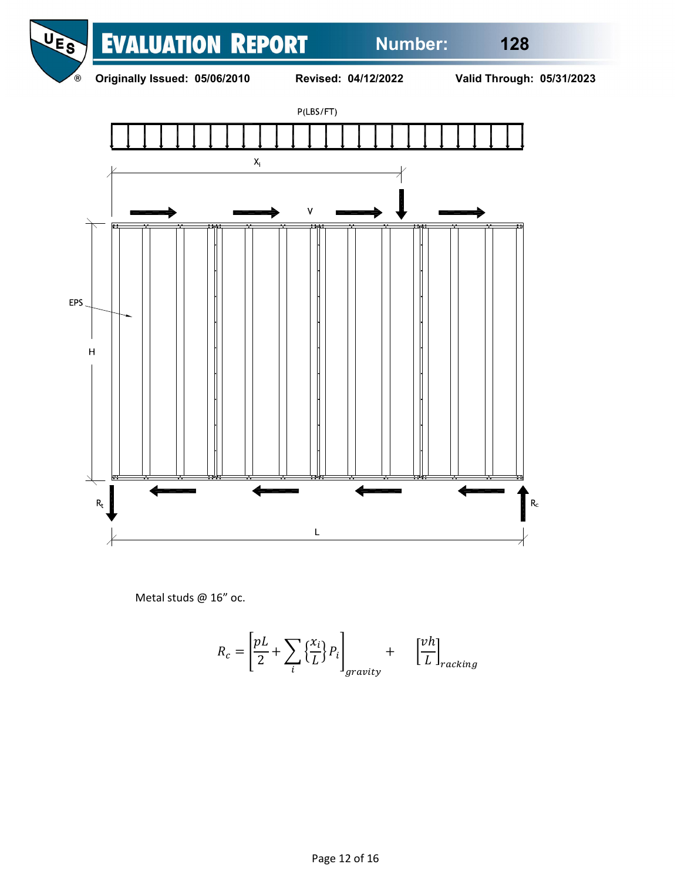





Metal studs @ 16" oc.

$$
R_c = \left[\frac{pL}{2} + \sum_{i} \left\{\frac{x_i}{L}\right\} P_i\right]_{gravity} + \left[\frac{vh}{L}\right]_{racking}
$$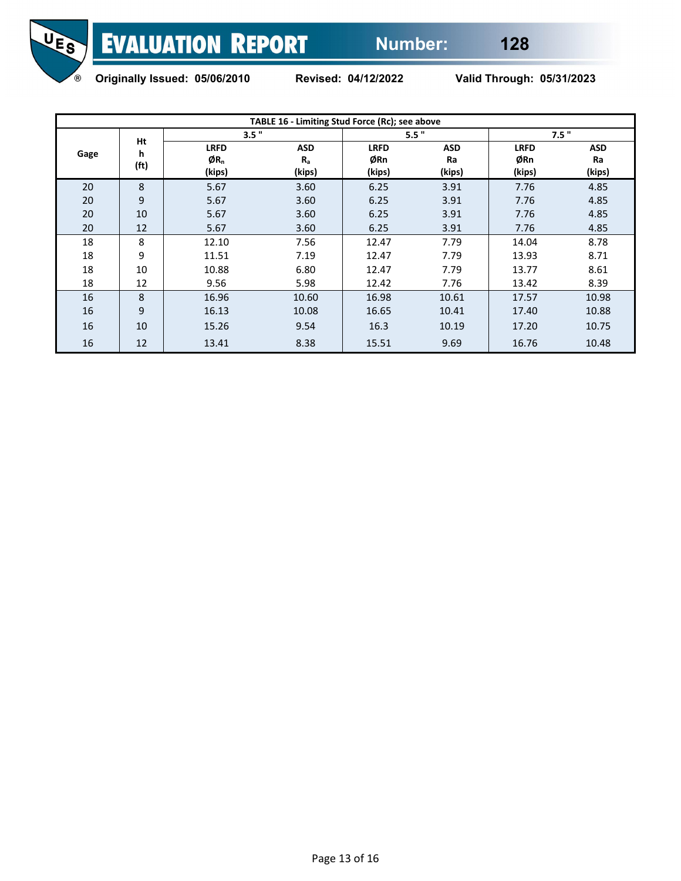

**Originally Issued: 05/06/2010 Revised: 04/12/2022 Valid Through: 05/31/2023** 

| TABLE 16 - Limiting Stud Force (Rc); see above |                              |                                          |                                 |                              |                            |                              |                     |  |  |  |  |
|------------------------------------------------|------------------------------|------------------------------------------|---------------------------------|------------------------------|----------------------------|------------------------------|---------------------|--|--|--|--|
| Gage                                           | Ht<br>h<br>(f <sup>t</sup> ) | 3.5"                                     |                                 |                              | 5.5"                       | 7.5"                         |                     |  |  |  |  |
|                                                |                              | <b>LRFD</b><br>ØR <sub>n</sub><br>(kips) | <b>ASD</b><br>$R_{a}$<br>(kips) | <b>LRFD</b><br>ØRn<br>(kips) | <b>ASD</b><br>Ra<br>(kips) | <b>LRFD</b><br>ØRn<br>(kips) | ASD<br>Ra<br>(kips) |  |  |  |  |
| 20                                             | 8                            | 5.67                                     | 3.60                            | 6.25                         | 3.91                       | 7.76                         | 4.85                |  |  |  |  |
| 20                                             | 9                            | 5.67                                     | 3.60                            | 6.25                         | 3.91                       | 7.76                         | 4.85                |  |  |  |  |
| 20                                             | 10                           | 5.67                                     | 3.60                            | 6.25                         | 3.91                       | 7.76                         | 4.85                |  |  |  |  |
| 20                                             | 12                           | 5.67                                     | 3.60                            | 6.25                         | 3.91                       | 7.76                         | 4.85                |  |  |  |  |
| 18                                             | 8                            | 12.10                                    | 7.56                            | 12.47                        | 7.79                       | 14.04                        | 8.78                |  |  |  |  |
| 18                                             | 9                            | 11.51                                    | 7.19                            | 12.47                        | 7.79                       | 13.93                        | 8.71                |  |  |  |  |
| 18                                             | 10                           | 10.88                                    | 6.80                            | 12.47                        | 7.79                       | 13.77                        | 8.61                |  |  |  |  |
| 18                                             | 12                           | 9.56                                     | 5.98                            | 12.42                        | 7.76                       | 13.42                        | 8.39                |  |  |  |  |
| 16                                             | 8                            | 16.96                                    | 10.60                           | 16.98                        | 10.61                      | 17.57                        | 10.98               |  |  |  |  |
| 16                                             | 9                            | 16.13                                    | 10.08                           | 16.65                        | 10.41                      | 17.40                        | 10.88               |  |  |  |  |
| 16                                             | 10                           | 15.26                                    | 9.54                            | 16.3                         | 10.19                      | 17.20                        | 10.75               |  |  |  |  |
| 16                                             | 12                           | 13.41                                    | 8.38                            | 15.51                        | 9.69                       | 16.76                        | 10.48               |  |  |  |  |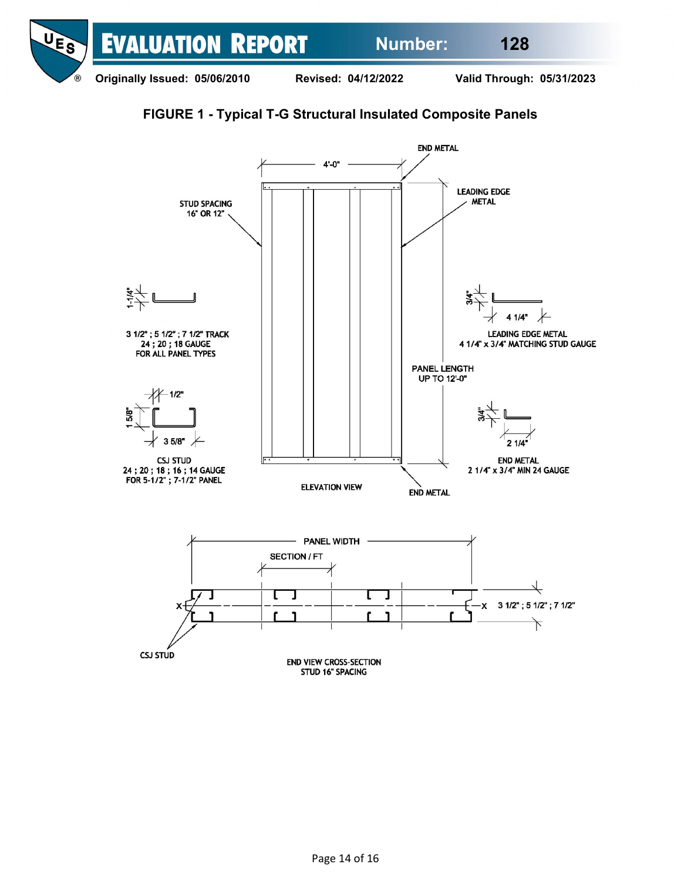



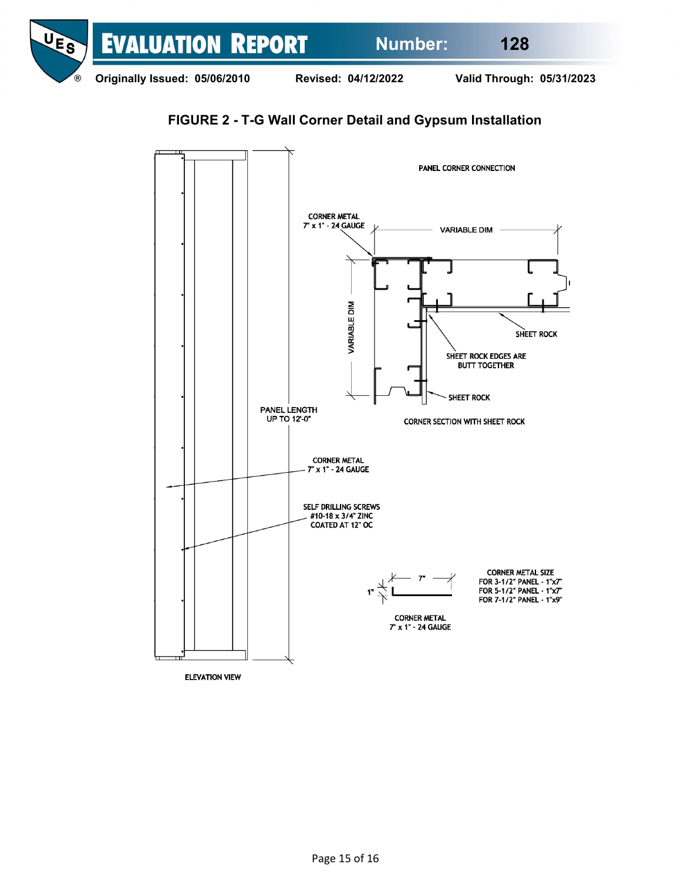